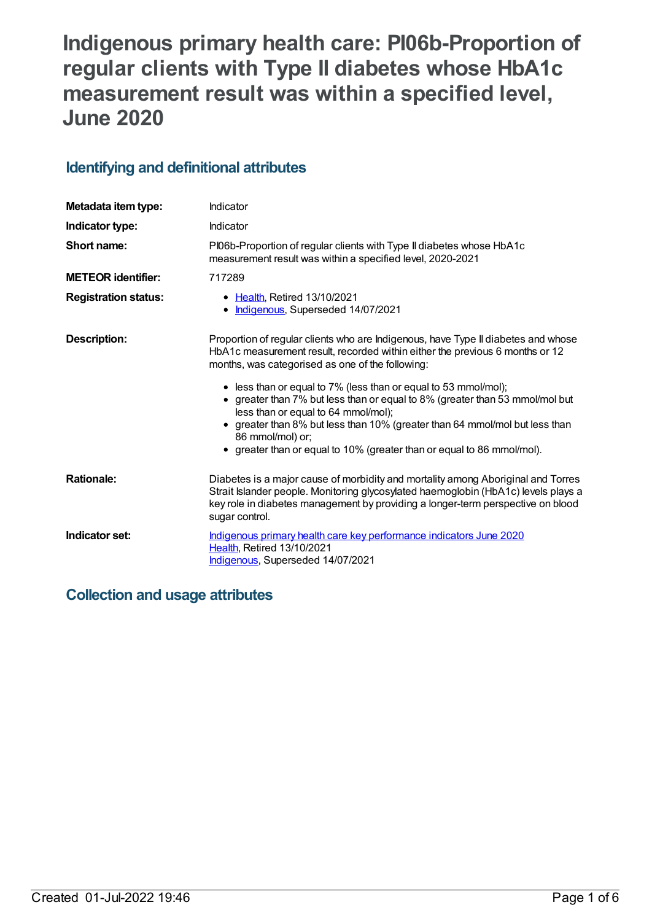# **Indigenous primary health care: PI06b-Proportion of regular clients with Type II diabetes whose HbA1c measurement result was within a specified level, June 2020**

## **Identifying and definitional attributes**

| Metadata item type:         | Indicator                                                                                                                                                                                                                                                                   |
|-----------------------------|-----------------------------------------------------------------------------------------------------------------------------------------------------------------------------------------------------------------------------------------------------------------------------|
| Indicator type:             | Indicator                                                                                                                                                                                                                                                                   |
| Short name:                 | PI06b-Proportion of regular clients with Type II diabetes whose HbA1c<br>measurement result was within a specified level, 2020-2021                                                                                                                                         |
| <b>METEOR identifier:</b>   | 717289                                                                                                                                                                                                                                                                      |
| <b>Registration status:</b> | • Health, Retired 13/10/2021<br>• Indigenous, Superseded 14/07/2021                                                                                                                                                                                                         |
| <b>Description:</b>         | Proportion of regular clients who are Indigenous, have Type II diabetes and whose<br>HbA1c measurement result, recorded within either the previous 6 months or 12<br>months, was categorised as one of the following:                                                       |
|                             | • less than or equal to 7% (less than or equal to 53 mmol/mol);<br>• greater than 7% but less than or equal to 8% (greater than 53 mmol/mol but<br>less than or equal to 64 mmol/mol);                                                                                      |
|                             | • greater than 8% but less than 10% (greater than 64 mmol/mol but less than<br>86 mmol/mol) or;<br>• greater than or equal to 10% (greater than or equal to 86 mmol/mol).                                                                                                   |
| <b>Rationale:</b>           | Diabetes is a major cause of morbidity and mortality among Aboriginal and Torres<br>Strait Islander people. Monitoring glycosylated haemoglobin (HbA1c) levels plays a<br>key role in diabetes management by providing a longer-term perspective on blood<br>sugar control. |
| Indicator set:              | Indigenous primary health care key performance indicators June 2020<br>Health, Retired 13/10/2021<br>Indigenous, Superseded 14/07/2021                                                                                                                                      |

## **Collection and usage attributes**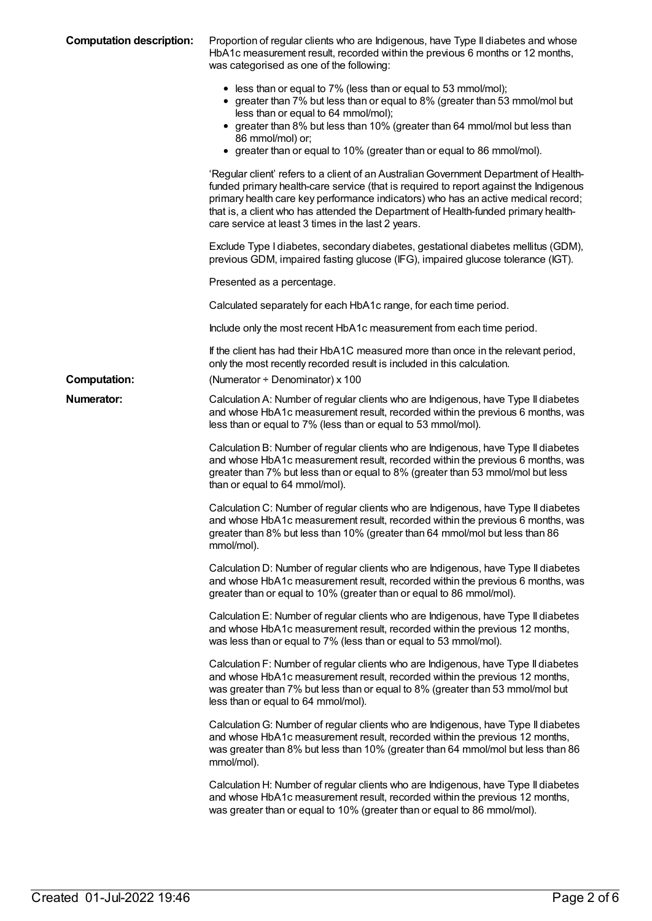| <b>Computation description:</b> | Proportion of regular clients who are Indigenous, have Type II diabetes and whose<br>HbA1c measurement result, recorded within the previous 6 months or 12 months,<br>was categorised as one of the following:                                                                                                                                                                                                  |
|---------------------------------|-----------------------------------------------------------------------------------------------------------------------------------------------------------------------------------------------------------------------------------------------------------------------------------------------------------------------------------------------------------------------------------------------------------------|
|                                 | • less than or equal to 7% (less than or equal to 53 mmol/mol);<br>• greater than 7% but less than or equal to 8% (greater than 53 mmol/mol but<br>less than or equal to 64 mmol/mol);<br>• greater than 8% but less than 10% (greater than 64 mmol/mol but less than<br>86 mmol/mol) or;<br>• greater than or equal to 10% (greater than or equal to 86 mmol/mol).                                             |
|                                 | 'Regular client' refers to a client of an Australian Government Department of Health-<br>funded primary health-care service (that is required to report against the Indigenous<br>primary health care key performance indicators) who has an active medical record;<br>that is, a client who has attended the Department of Health-funded primary health-<br>care service at least 3 times in the last 2 years. |
|                                 | Exclude Type I diabetes, secondary diabetes, gestational diabetes mellitus (GDM),<br>previous GDM, impaired fasting glucose (IFG), impaired glucose tolerance (IGT).                                                                                                                                                                                                                                            |
|                                 | Presented as a percentage.                                                                                                                                                                                                                                                                                                                                                                                      |
|                                 | Calculated separately for each HbA1c range, for each time period.                                                                                                                                                                                                                                                                                                                                               |
|                                 | Include only the most recent HbA1c measurement from each time period.                                                                                                                                                                                                                                                                                                                                           |
|                                 | If the client has had their HbA1C measured more than once in the relevant period,<br>only the most recently recorded result is included in this calculation.                                                                                                                                                                                                                                                    |
| <b>Computation:</b>             | (Numerator + Denominator) x 100                                                                                                                                                                                                                                                                                                                                                                                 |
| Numerator:                      | Calculation A: Number of regular clients who are Indigenous, have Type II diabetes<br>and whose HbA1c measurement result, recorded within the previous 6 months, was<br>less than or equal to 7% (less than or equal to 53 mmol/mol).                                                                                                                                                                           |
|                                 | Calculation B: Number of regular clients who are Indigenous, have Type II diabetes<br>and whose HbA1c measurement result, recorded within the previous 6 months, was<br>greater than 7% but less than or equal to 8% (greater than 53 mmol/mol but less<br>than or equal to 64 mmol/mol).                                                                                                                       |
|                                 | Calculation C: Number of regular clients who are Indigenous, have Type II diabetes<br>and whose HbA1c measurement result, recorded within the previous 6 months, was<br>greater than 8% but less than 10% (greater than 64 mmol/mol but less than 86<br>mmol/mol).                                                                                                                                              |
|                                 | Calculation D: Number of regular clients who are Indigenous, have Type II diabetes<br>and whose HbA1c measurement result, recorded within the previous 6 months, was<br>greater than or equal to 10% (greater than or equal to 86 mmol/mol).                                                                                                                                                                    |
|                                 | Calculation E: Number of regular clients who are Indigenous, have Type II diabetes<br>and whose HbA1c measurement result, recorded within the previous 12 months,<br>was less than or equal to 7% (less than or equal to 53 mmol/mol).                                                                                                                                                                          |
|                                 | Calculation F: Number of regular clients who are Indigenous, have Type II diabetes<br>and whose HbA1c measurement result, recorded within the previous 12 months,<br>was greater than 7% but less than or equal to 8% (greater than 53 mmol/mol but<br>less than or equal to 64 mmol/mol).                                                                                                                      |
|                                 | Calculation G: Number of regular clients who are Indigenous, have Type II diabetes<br>and whose HbA1c measurement result, recorded within the previous 12 months,<br>was greater than 8% but less than 10% (greater than 64 mmol/mol but less than 86<br>mmol/mol).                                                                                                                                             |
|                                 | Calculation H: Number of regular clients who are Indigenous, have Type II diabetes<br>and whose HbA1c measurement result, recorded within the previous 12 months,<br>was greater than or equal to 10% (greater than or equal to 86 mmol/mol).                                                                                                                                                                   |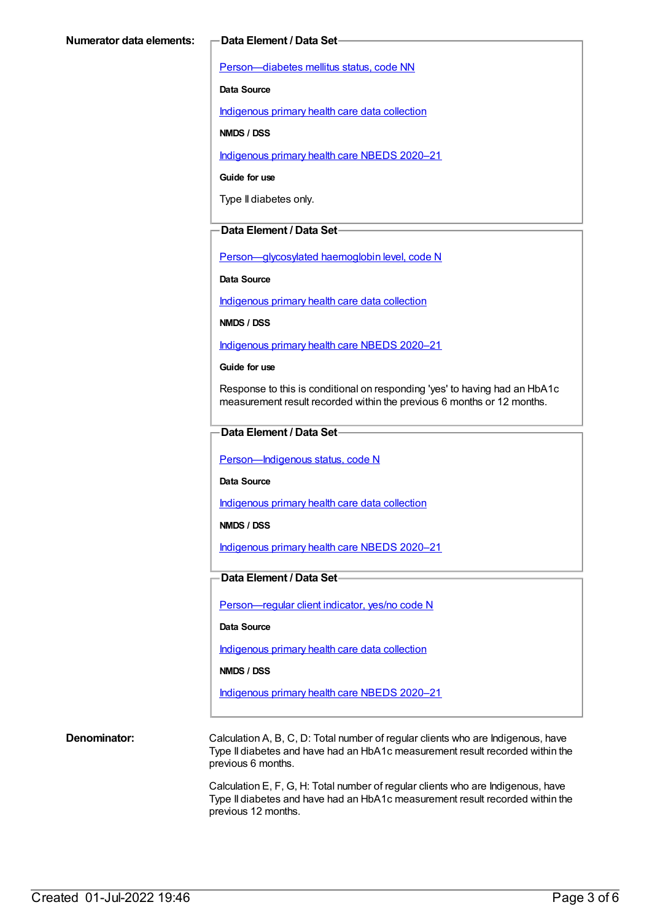[Person—diabetes](https://meteor.aihw.gov.au/content/270194) mellitus status, code NN

**Data Source**

[Indigenous](https://meteor.aihw.gov.au/content/430643) primary health care data collection

**NMDS / DSS**

[Indigenous](https://meteor.aihw.gov.au/content/715320) primary health care NBEDS 2020–21

**Guide for use**

Type II diabetes only.

#### **Data Element / Data Set**

[Person—glycosylated](https://meteor.aihw.gov.au/content/589601) haemoglobin level, code N

**Data Source**

[Indigenous](https://meteor.aihw.gov.au/content/430643) primary health care data collection

**NMDS / DSS**

[Indigenous](https://meteor.aihw.gov.au/content/715320) primary health care NBEDS 2020–21

#### **Guide for use**

Response to this is conditional on responding 'yes' to having had an HbA1c measurement result recorded within the previous 6 months or 12 months.

#### **Data Element / Data Set**

Person-Indigenous status, code N

**Data Source**

[Indigenous](https://meteor.aihw.gov.au/content/430643) primary health care data collection

**NMDS / DSS**

[Indigenous](https://meteor.aihw.gov.au/content/715320) primary health care NBEDS 2020–21

### **Data Element / Data Set**

[Person—regular](https://meteor.aihw.gov.au/content/686291) client indicator, yes/no code N

#### **Data Source**

[Indigenous](https://meteor.aihw.gov.au/content/430643) primary health care data collection

**NMDS / DSS**

[Indigenous](https://meteor.aihw.gov.au/content/715320) primary health care NBEDS 2020–21

**Denominator:** Calculation A, B, C, D: Total number of regular clients who are Indigenous, have Type II diabetes and have had an HbA1c measurement result recorded within the previous 6 months.

> Calculation E, F, G, H: Total number of regular clients who are Indigenous, have Type II diabetes and have had an HbA1c measurement result recorded within the previous 12 months.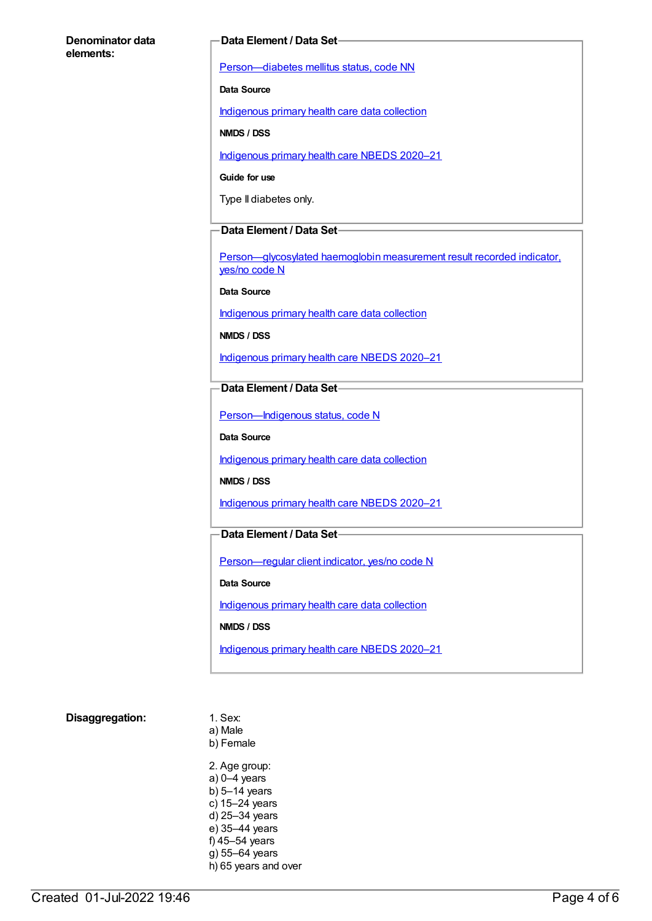#### **Denominator data elements:**

#### **Data Element / Data Set**

[Person—diabetes](https://meteor.aihw.gov.au/content/270194) mellitus status, code NN

**Data Source**

[Indigenous](https://meteor.aihw.gov.au/content/430643) primary health care data collection

**NMDS / DSS**

[Indigenous](https://meteor.aihw.gov.au/content/715320) primary health care NBEDS 2020–21

**Guide for use**

Type II diabetes only.

#### **Data Element / Data Set**

[Person—glycosylated](https://meteor.aihw.gov.au/content/441495) haemoglobin measurement result recorded indicator, yes/no code N

**Data Source**

[Indigenous](https://meteor.aihw.gov.au/content/430643) primary health care data collection

**NMDS / DSS**

[Indigenous](https://meteor.aihw.gov.au/content/715320) primary health care NBEDS 2020–21

**Data Element / Data Set**

Person-Indigenous status, code N

**Data Source**

[Indigenous](https://meteor.aihw.gov.au/content/430643) primary health care data collection

**NMDS / DSS**

[Indigenous](https://meteor.aihw.gov.au/content/715320) primary health care NBEDS 2020–21

### **Data Element / Data Set**

[Person—regular](https://meteor.aihw.gov.au/content/686291) client indicator, yes/no code N

**Data Source**

[Indigenous](https://meteor.aihw.gov.au/content/430643) primary health care data collection

**NMDS / DSS**

[Indigenous](https://meteor.aihw.gov.au/content/715320) primary health care NBEDS 2020–21

#### **Disaggregation:** 1. Sex:

a) Male b) Female 2. Age group: a) 0–4 years b) 5–14 years c) 15–24 years d) 25–34 years e) 35–44 years f) 45–54 years

g) 55–64 years h) 65 years and over

Created 01-Jul-2022 19:46 Page 4 of 6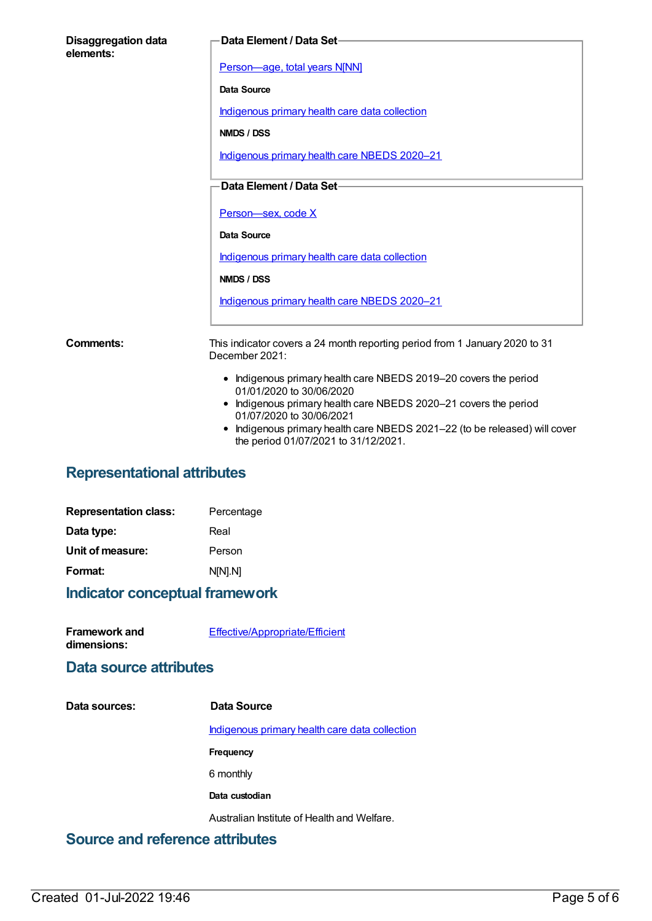| <b>Disaggregation data</b><br>elements: | <b>Data Element / Data Set-</b>                                                              |
|-----------------------------------------|----------------------------------------------------------------------------------------------|
|                                         | Person-age, total years N[NN]                                                                |
|                                         | Data Source                                                                                  |
|                                         | Indigenous primary health care data collection                                               |
|                                         | NMDS / DSS                                                                                   |
|                                         | Indigenous primary health care NBEDS 2020-21                                                 |
|                                         | Data Element / Data Set-                                                                     |
|                                         | Person-sex, code X                                                                           |
|                                         | Data Source                                                                                  |
|                                         | Indigenous primary health care data collection                                               |
|                                         | NMDS / DSS                                                                                   |
|                                         | Indigenous primary health care NBEDS 2020-21                                                 |
| <b>Comments:</b>                        | This indicator covers a 24 month reporting period from 1 January 2020 to 31                  |
|                                         | December 2021:                                                                               |
|                                         | • Indigenous primary health care NBEDS 2019-20 covers the period<br>01/01/2020 to 30/06/2020 |
|                                         | • Indigenous primary health care NBEDS 2020-21 covers the period<br>01/07/2020 to 30/06/2021 |
|                                         | Indigenous primary health care NBEDS 2021–22 (to be released) will cover                     |

#### Indigenous primary health care NBEDS 2021–22 (to be released) will cover the period 01/07/2021 to 31/12/2021.

## **Representational attributes**

| <b>Representation class:</b> | Percentage |
|------------------------------|------------|
| Data type:                   | Real       |
| Unit of measure:             | Person     |
| Format:                      | N[N].N]    |
|                              |            |

## **Indicator conceptual framework**

| <b>Framework and</b> | Effective/Appropriate/Efficient |
|----------------------|---------------------------------|
| dimensions:          |                                 |

## **Data source attributes**

#### **Data sources: Data Source**

[Indigenous](https://meteor.aihw.gov.au/content/430643) primary health care data collection

**Frequency**

6 monthly

**Data custodian**

Australian Institute of Health and Welfare.

## **Source and reference attributes**